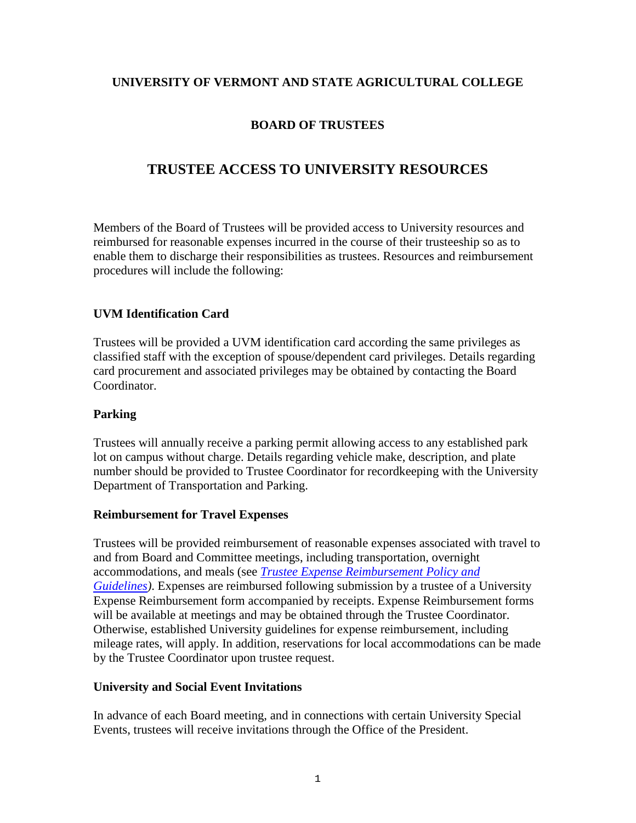### **UNIVERSITY OF VERMONT AND STATE AGRICULTURAL COLLEGE**

# **BOARD OF TRUSTEES**

# **TRUSTEE ACCESS TO UNIVERSITY RESOURCES**

Members of the Board of Trustees will be provided access to University resources and reimbursed for reasonable expenses incurred in the course of their trusteeship so as to enable them to discharge their responsibilities as trustees. Resources and reimbursement procedures will include the following:

#### **UVM Identification Card**

Trustees will be provided a UVM identification card according the same privileges as classified staff with the exception of spouse/dependent card privileges. Details regarding card procurement and associated privileges may be obtained by contacting the Board Coordinator.

#### **Parking**

Trustees will annually receive a parking permit allowing access to any established park lot on campus without charge. Details regarding vehicle make, description, and plate number should be provided to Trustee Coordinator for recordkeeping with the University Department of Transportation and Parking.

#### **Reimbursement for Travel Expenses**

Trustees will be provided reimbursement of reasonable expenses associated with travel to and from Board and Committee meetings, including transportation, overnight accommodations, and meals (see *[Trustee Expense Reimbursement Policy and](https://www.uvm.edu/sites/default/files/UVM-Board-of-Trustees/policy_manual/IV6_expense_reimbursement.pdf)  [Guidelines\)](https://www.uvm.edu/sites/default/files/UVM-Board-of-Trustees/policy_manual/IV6_expense_reimbursement.pdf)*. Expenses are reimbursed following submission by a trustee of a University Expense Reimbursement form accompanied by receipts. Expense Reimbursement forms will be available at meetings and may be obtained through the Trustee Coordinator. Otherwise, established University guidelines for expense reimbursement, including mileage rates, will apply. In addition, reservations for local accommodations can be made by the Trustee Coordinator upon trustee request.

#### **University and Social Event Invitations**

In advance of each Board meeting, and in connections with certain University Special Events, trustees will receive invitations through the Office of the President.